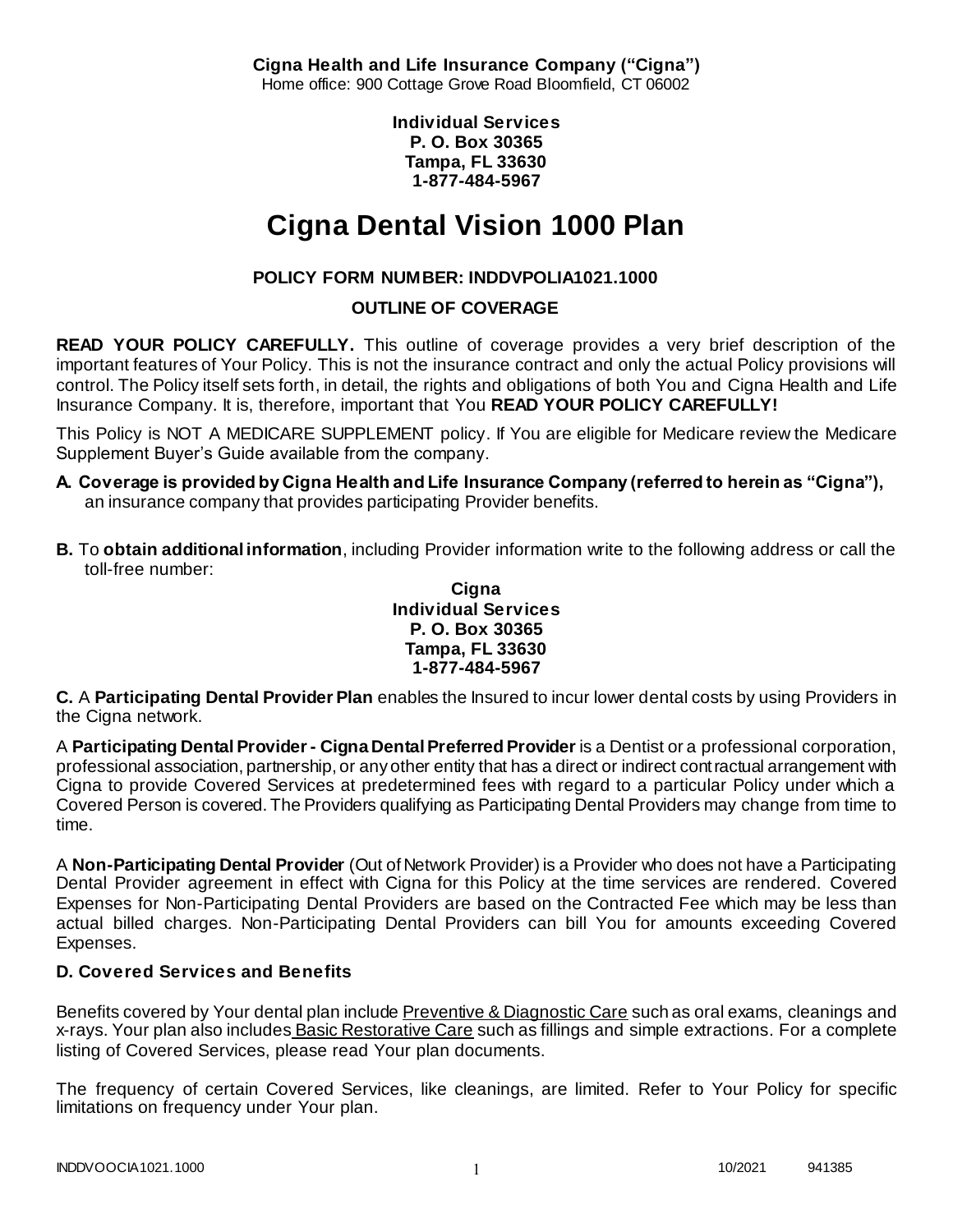**Cigna Health and Life Insurance Company ("Cigna")** Home office: 900 Cottage Grove Road Bloomfield, CT 06002

> **Individual Services P. O. Box 30365 Tampa, FL 33630 1-877-484-5967**

# **Cigna Dental Vision 1000 Plan**

# **POLICY FORM NUMBER: INDDVPOLIA1021.1000**

### **OUTLINE OF COVERAGE**

**READ YOUR POLICY CAREFULLY.** This outline of coverage provides a very brief description of the important features of Your Policy. This is not the insurance contract and only the actual Policy provisions will control. The Policy itself sets forth, in detail, the rights and obligations of both You and Cigna Health and Life Insurance Company. It is, therefore, important that You **READ YOUR POLICY CAREFULLY!** 

This Policy is NOT A MEDICARE SUPPLEMENT policy. If You are eligible for Medicare review the Medicare Supplement Buyer's Guide available from the company.

- **A. Coverage is provided by Cigna Health and Life Insurance Company (referred to herein as "Cigna"),**  an insurance company that provides participating Provider benefits.
- **B.** To **obtain additional information**, including Provider information write to the following address or call the toll-free number:

#### **Cigna Individual Services P. O. Box 30365 Tampa, FL 33630 1-877-484-5967**

**C.** A **Participating Dental Provider Plan** enables the Insured to incur lower dental costs by using Providers in the Cigna network.

A **Participating Dental Provider - Cigna Dental Preferred Provider** is a Dentist or a professional corporation, professional association, partnership, or any other entity that has a direct or indirect contractual arrangement with Cigna to provide Covered Services at predetermined fees with regard to a particular Policy under which a Covered Person is covered. The Providers qualifying as Participating Dental Providers may change from time to time.

A **Non-Participating Dental Provider** (Out of Network Provider) is a Provider who does not have a Participating Dental Provider agreement in effect with Cigna for this Policy at the time services are rendered. Covered Expenses for Non-Participating Dental Providers are based on the Contracted Fee which may be less than actual billed charges. Non-Participating Dental Providers can bill You for amounts exceeding Covered Expenses.

# **D. Covered Services and Benefits**

Benefits covered by Your dental plan include Preventive & Diagnostic Care such as oral exams, cleanings and x-rays. Your plan also includes Basic Restorative Care such as fillings and simple extractions. For a complete listing of Covered Services, please read Your plan documents.

The frequency of certain Covered Services, like cleanings, are limited. Refer to Your Policy for specific limitations on frequency under Your plan.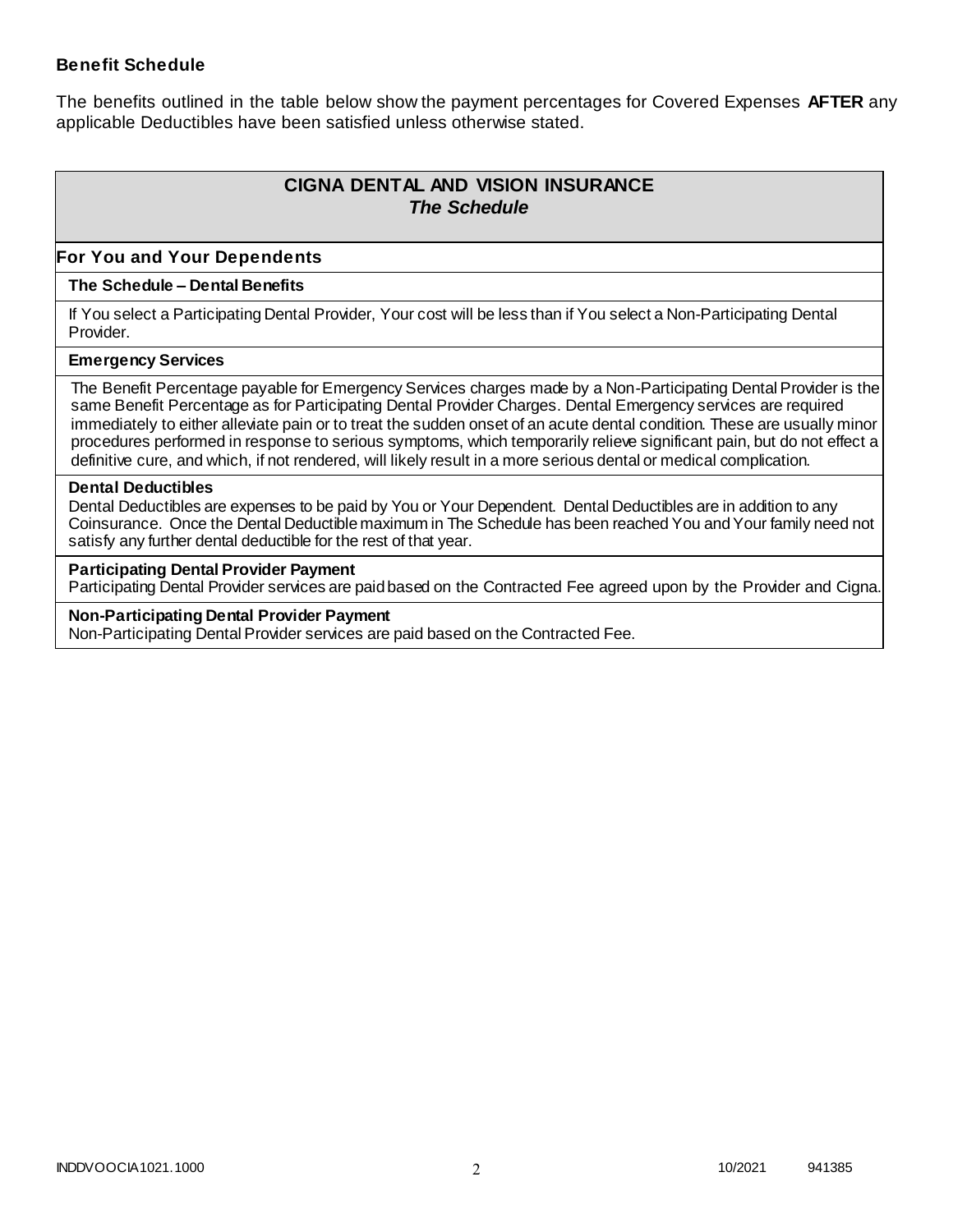### **Benefit Schedule**

The benefits outlined in the table below show the payment percentages for Covered Expenses **AFTER** any applicable Deductibles have been satisfied unless otherwise stated.

# **CIGNA DENTAL AND VISION INSURANCE** *The Schedule*

### **For You and Your Dependents**

#### **The Schedule – Dental Benefits**

If You select a Participating Dental Provider, Your cost will be less than if You select a Non-Participating Dental Provider.

#### **Emergency Services**

The Benefit Percentage payable for Emergency Services charges made by a Non-Participating Dental Provider is the same Benefit Percentage as for Participating Dental Provider Charges. Dental Emergency services are required immediately to either alleviate pain or to treat the sudden onset of an acute dental condition. These are usually minor procedures performed in response to serious symptoms, which temporarily relieve significant pain, but do not effect a definitive cure, and which, if not rendered, will likely result in a more serious dental or medical complication.

#### **Dental Deductibles**

Dental Deductibles are expenses to be paid by You or Your Dependent. Dental Deductibles are in addition to any Coinsurance. Once the Dental Deductible maximum in The Schedule has been reached You and Your family need not satisfy any further dental deductible for the rest of that year.

#### **Participating Dental Provider Payment**

Participating Dental Provider services are paid based on the Contracted Fee agreed upon by the Provider and Cigna.

**Non-Participating Dental Provider Payment** Non-Participating Dental Provider services are paid based on the Contracted Fee.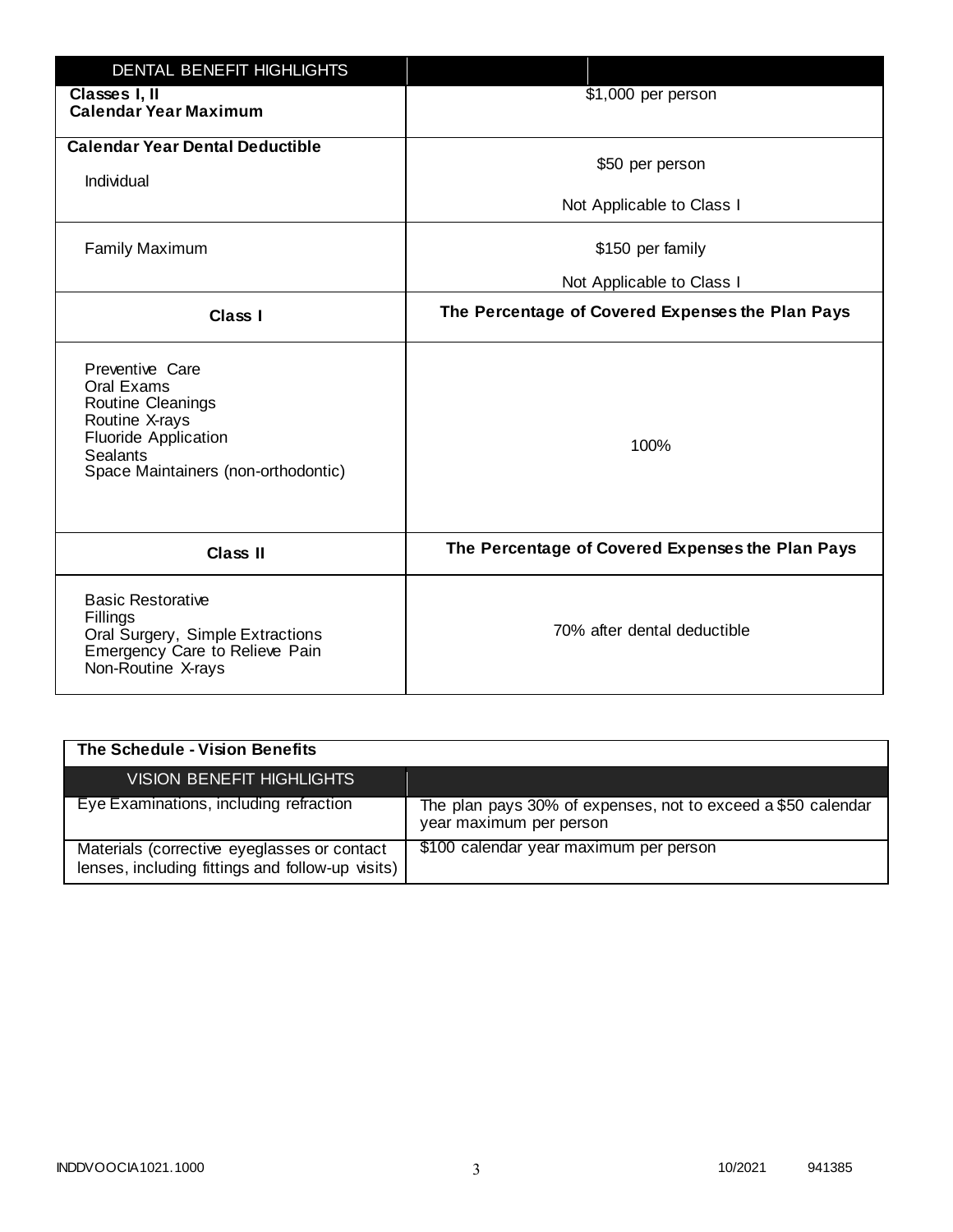| DENTAL BENEFIT HIGHLIGHTS                                                                                                                                     |                                                  |
|---------------------------------------------------------------------------------------------------------------------------------------------------------------|--------------------------------------------------|
| Classes I, II<br><b>Calendar Year Maximum</b>                                                                                                                 | \$1,000 per person                               |
| <b>Calendar Year Dental Deductible</b><br>Individual                                                                                                          | \$50 per person                                  |
|                                                                                                                                                               | Not Applicable to Class I                        |
| <b>Family Maximum</b>                                                                                                                                         | \$150 per family                                 |
|                                                                                                                                                               | Not Applicable to Class I                        |
| <b>Class I</b>                                                                                                                                                | The Percentage of Covered Expenses the Plan Pays |
| Preventive Care<br>Oral Exams<br>Routine Cleanings<br>Routine X-rays<br><b>Fluoride Application</b><br><b>Sealants</b><br>Space Maintainers (non-orthodontic) | 100%                                             |
| <b>Class II</b>                                                                                                                                               | The Percentage of Covered Expenses the Plan Pays |
| <b>Basic Restorative</b><br>Fillings<br>Oral Surgery, Simple Extractions<br>Emergency Care to Relieve Pain<br>Non-Routine X-rays                              | 70% after dental deductible                      |

| The Schedule - Vision Benefits                                                                  |                                                                                         |
|-------------------------------------------------------------------------------------------------|-----------------------------------------------------------------------------------------|
| VISION BENEFIT HIGHLIGHTS                                                                       |                                                                                         |
| Eye Examinations, including refraction                                                          | The plan pays 30% of expenses, not to exceed a \$50 calendar<br>year maximum per person |
| Materials (corrective eyeglasses or contact<br>lenses, including fittings and follow-up visits) | \$100 calendar year maximum per person                                                  |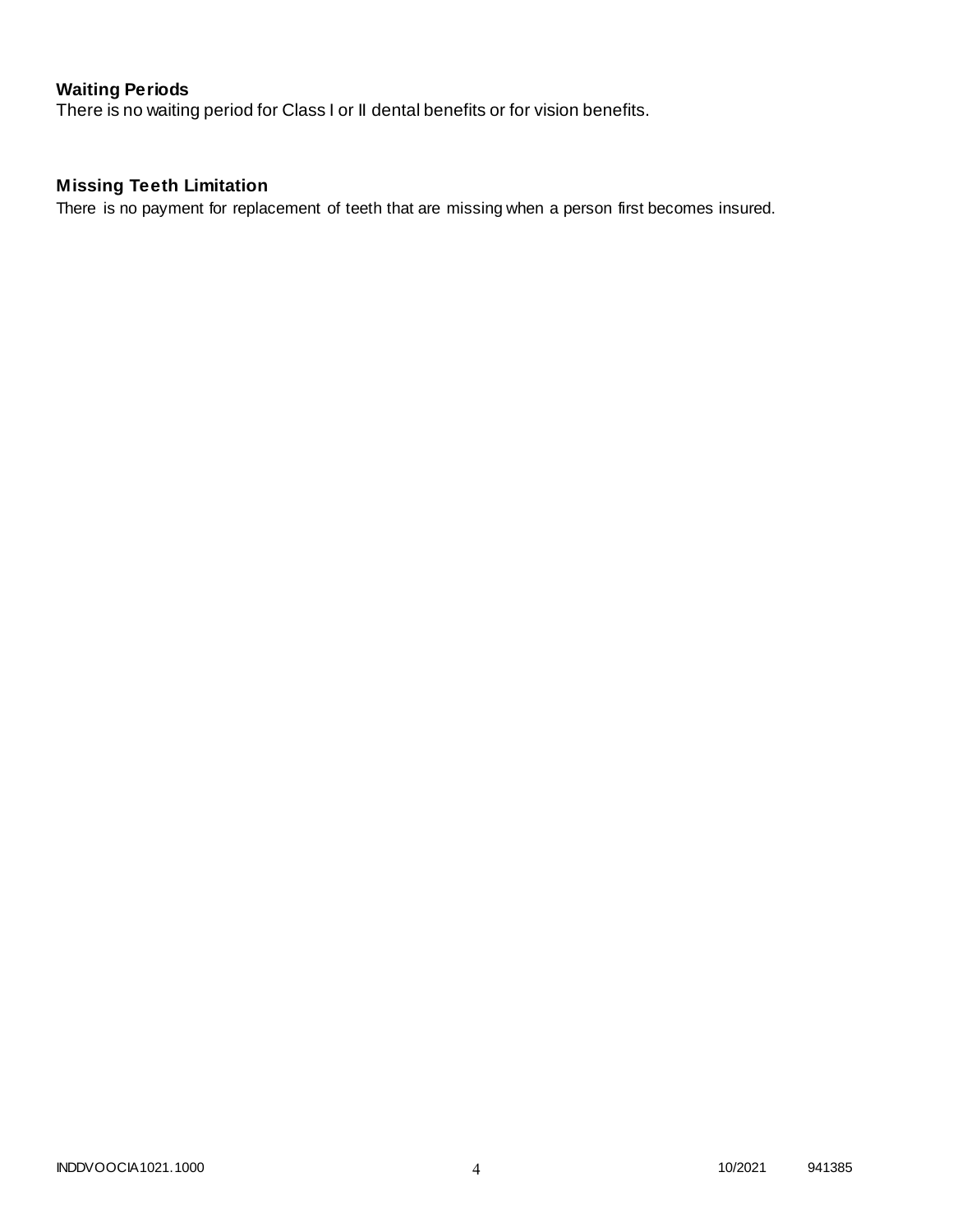# **Waiting Periods**

There is no waiting period for Class I or II dental benefits or for vision benefits.

# **Missing Teeth Limitation**

There is no payment for replacement of teeth that are missing when a person first becomes insured.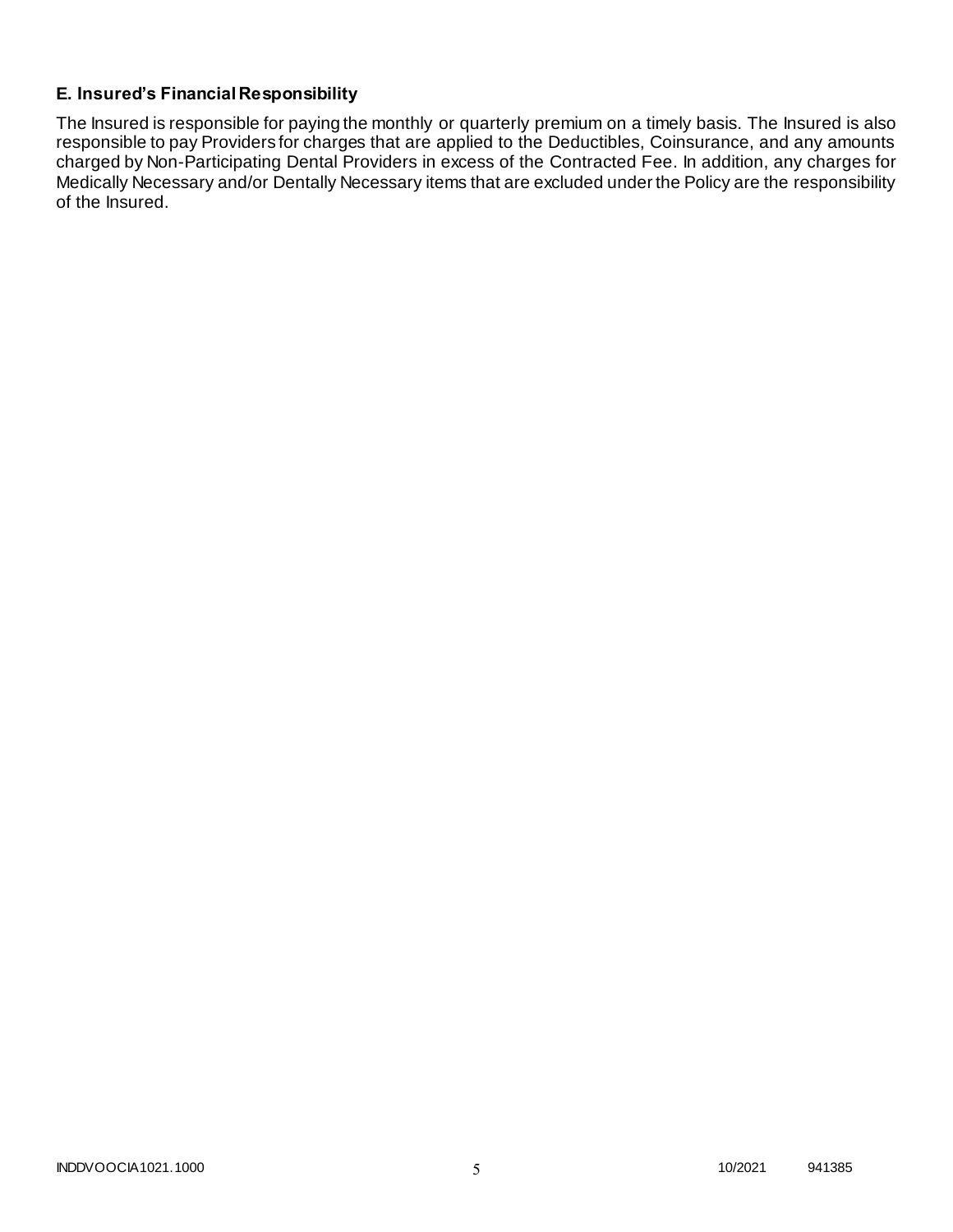### **E. Insured's Financial Responsibility**

The Insured is responsible for paying the monthly or quarterly premium on a timely basis. The Insured is also responsible to pay Providers for charges that are applied to the Deductibles, Coinsurance, and any amounts charged by Non-Participating Dental Providers in excess of the Contracted Fee. In addition, any charges for Medically Necessary and/or Dentally Necessary items that are excluded under the Policy are the responsibility of the Insured.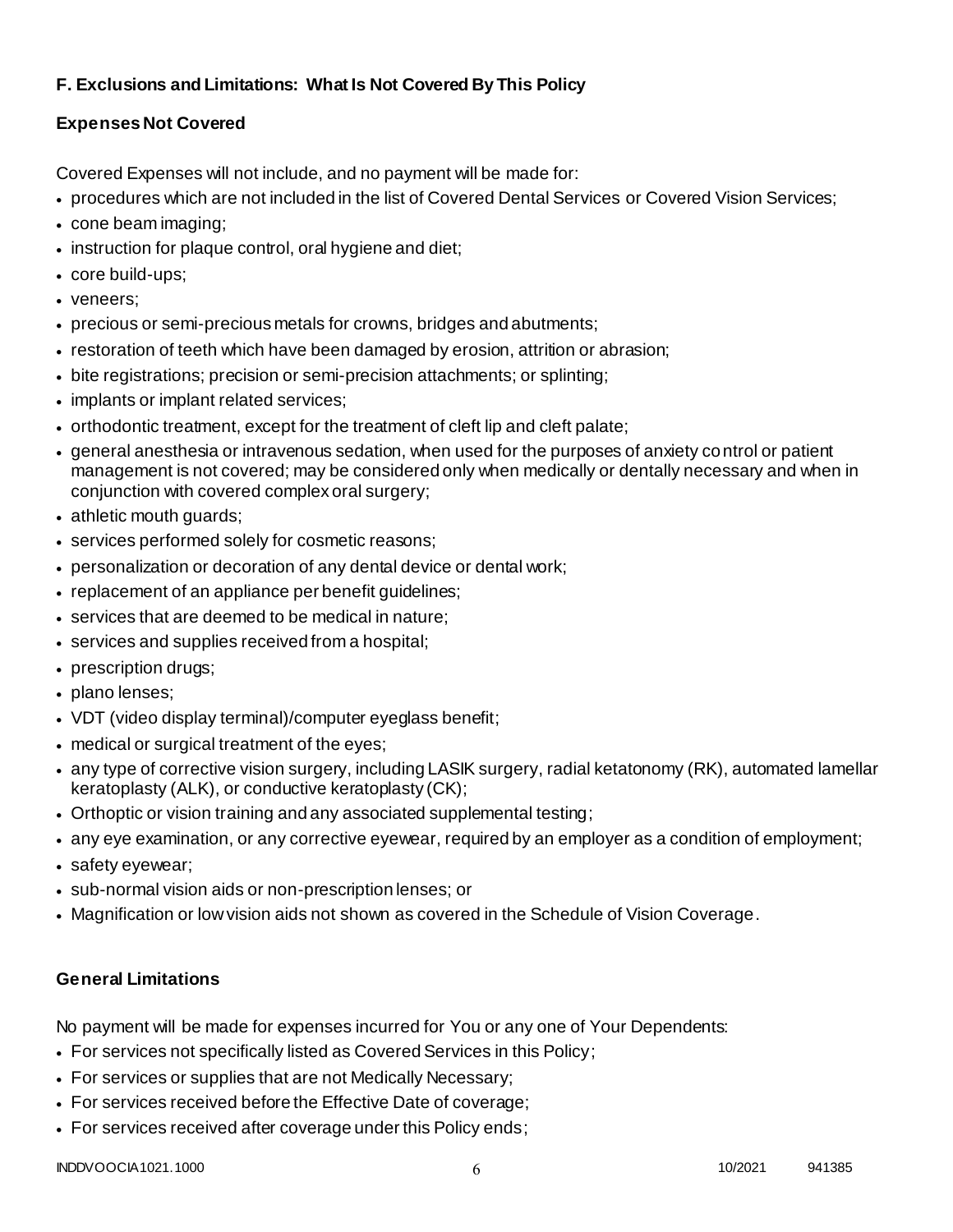### **F. Exclusions and Limitations: What Is Not Covered By This Policy**

# **Expenses Not Covered**

Covered Expenses will not include, and no payment will be made for:

- procedures which are not included in the list of Covered Dental Services or Covered Vision Services;
- cone beam imaging;
- instruction for plaque control, oral hygiene and diet;
- core build-ups;
- veneers;
- precious or semi-precious metals for crowns, bridges and abutments;
- restoration of teeth which have been damaged by erosion, attrition or abrasion;
- bite registrations; precision or semi-precision attachments; or splinting;
- implants or implant related services;
- orthodontic treatment, except for the treatment of cleft lip and cleft palate;
- general anesthesia or intravenous sedation, when used for the purposes of anxiety control or patient management is not covered; may be considered only when medically or dentally necessary and when in conjunction with covered complex oral surgery;
- athletic mouth guards;
- services performed solely for cosmetic reasons;
- personalization or decoration of any dental device or dental work;
- replacement of an appliance per benefit quidelines;
- services that are deemed to be medical in nature;
- services and supplies received from a hospital;
- prescription drugs;
- plano lenses;
- VDT (video display terminal)/computer eyeglass benefit;
- medical or surgical treatment of the eyes;
- any type of corrective vision surgery, including LASIK surgery, radial ketatonomy (RK), automated lamellar keratoplasty (ALK), or conductive keratoplasty (CK);
- Orthoptic or vision training and any associated supplemental testing;
- any eye examination, or any corrective eyewear, required by an employer as a condition of employment;
- safety eyewear;
- sub-normal vision aids or non-prescription lenses; or
- Magnification or low vision aids not shown as covered in the Schedule of Vision Coverage.

# **General Limitations**

No payment will be made for expenses incurred for You or any one of Your Dependents:

- For services not specifically listed as Covered Services in this Policy;
- For services or supplies that are not Medically Necessary;
- For services received before the Effective Date of coverage;
- For services received after coverage under this Policy ends;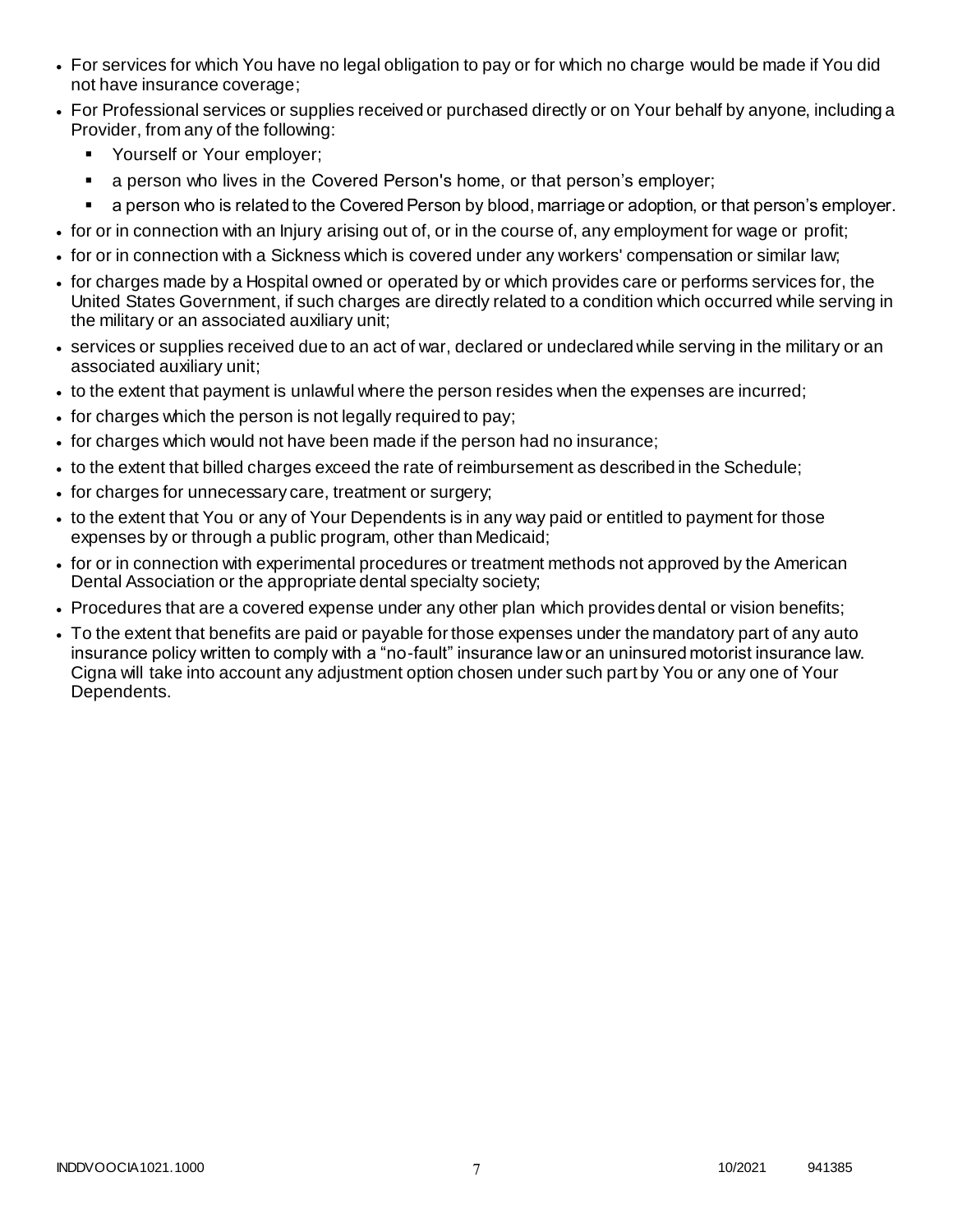- For services for which You have no legal obligation to pay or for which no charge would be made if You did not have insurance coverage;
- For Professional services or supplies received or purchased directly or on Your behalf by anyone, including a Provider, from any of the following:
	- **Yourself or Your employer;**
	- a person who lives in the Covered Person's home, or that person's employer;
	- a person who is related to the Covered Person by blood, marriage or adoption, or that person's employer.
- for or in connection with an Injury arising out of, or in the course of, any employment for wage or profit;
- for or in connection with a Sickness which is covered under any workers' compensation or similar law;
- for charges made by a Hospital owned or operated by or which provides care or performs services for, the United States Government, if such charges are directly related to a condition which occurred while serving in the military or an associated auxiliary unit;
- services or supplies received due to an act of war, declared or undeclared while serving in the military or an associated auxiliary unit;
- to the extent that payment is unlawful where the person resides when the expenses are incurred;
- for charges which the person is not legally required to pay;
- for charges which would not have been made if the person had no insurance;
- to the extent that billed charges exceed the rate of reimbursement as described in the Schedule;
- for charges for unnecessary care, treatment or surgery;
- to the extent that You or any of Your Dependents is in any way paid or entitled to payment for those expenses by or through a public program, other than Medicaid;
- for or in connection with experimental procedures or treatment methods not approved by the American Dental Association or the appropriate dental specialty society;
- Procedures that are a covered expense under any other plan which provides dental or vision benefits;
- To the extent that benefits are paid or payable for those expenses under the mandatory part of any auto insurance policy written to comply with a "no-fault" insurance law or an uninsured motorist insurance law. Cigna will take into account any adjustment option chosen under such part by You or any one of Your Dependents.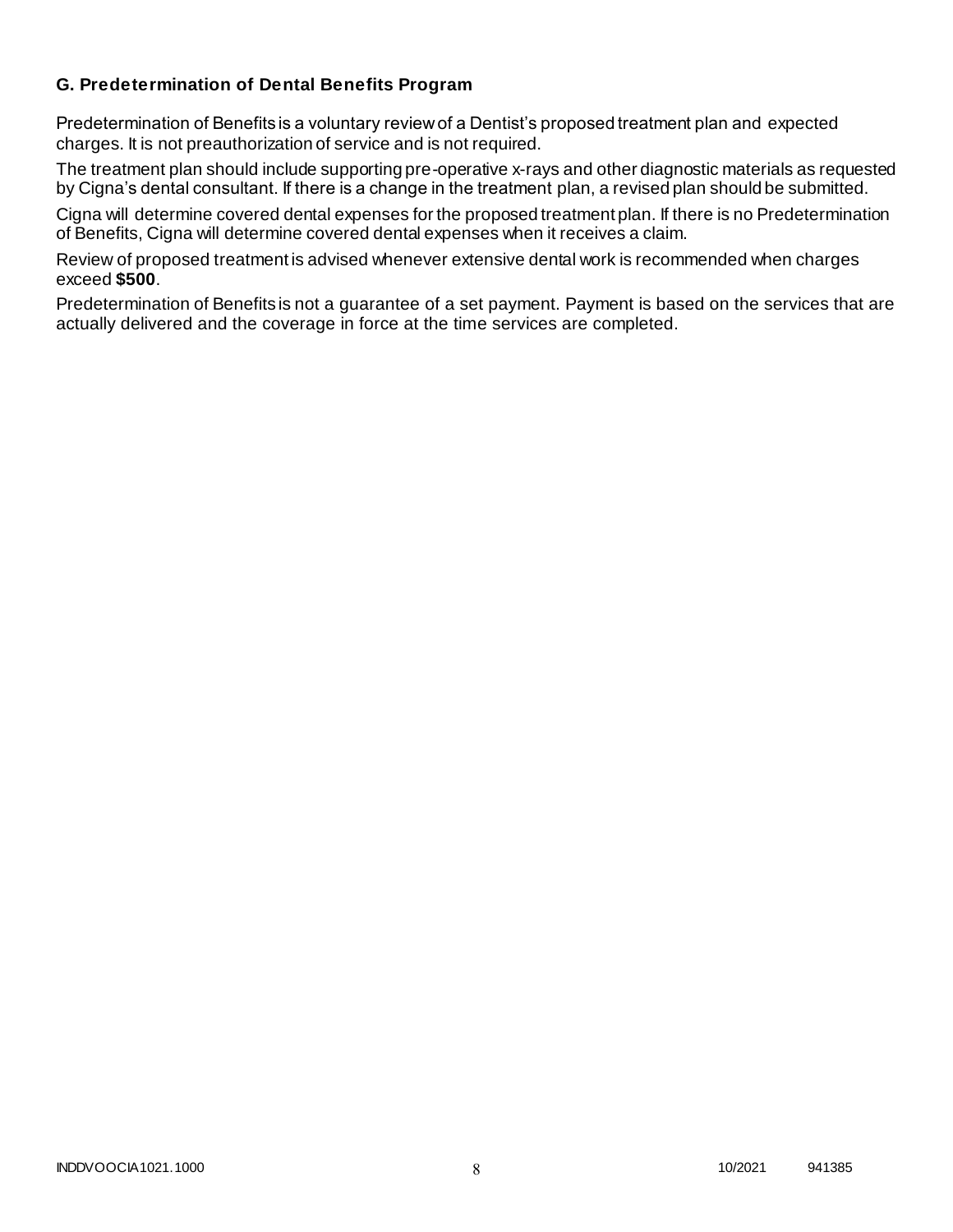### **G. Predetermination of Dental Benefits Program**

Predetermination of Benefits is a voluntary review of a Dentist's proposed treatment plan and expected charges. It is not preauthorization of service and is not required.

The treatment plan should include supporting pre-operative x-rays and other diagnostic materials as requested by Cigna's dental consultant. If there is a change in the treatment plan, a revised plan should be submitted.

Cigna will determine covered dental expenses for the proposed treatment plan. If there is no Predetermination of Benefits, Cigna will determine covered dental expenses when it receives a claim.

Review of proposed treatment is advised whenever extensive dental work is recommended when charges exceed **\$500**.

Predetermination of Benefits is not a guarantee of a set payment. Payment is based on the services that are actually delivered and the coverage in force at the time services are completed.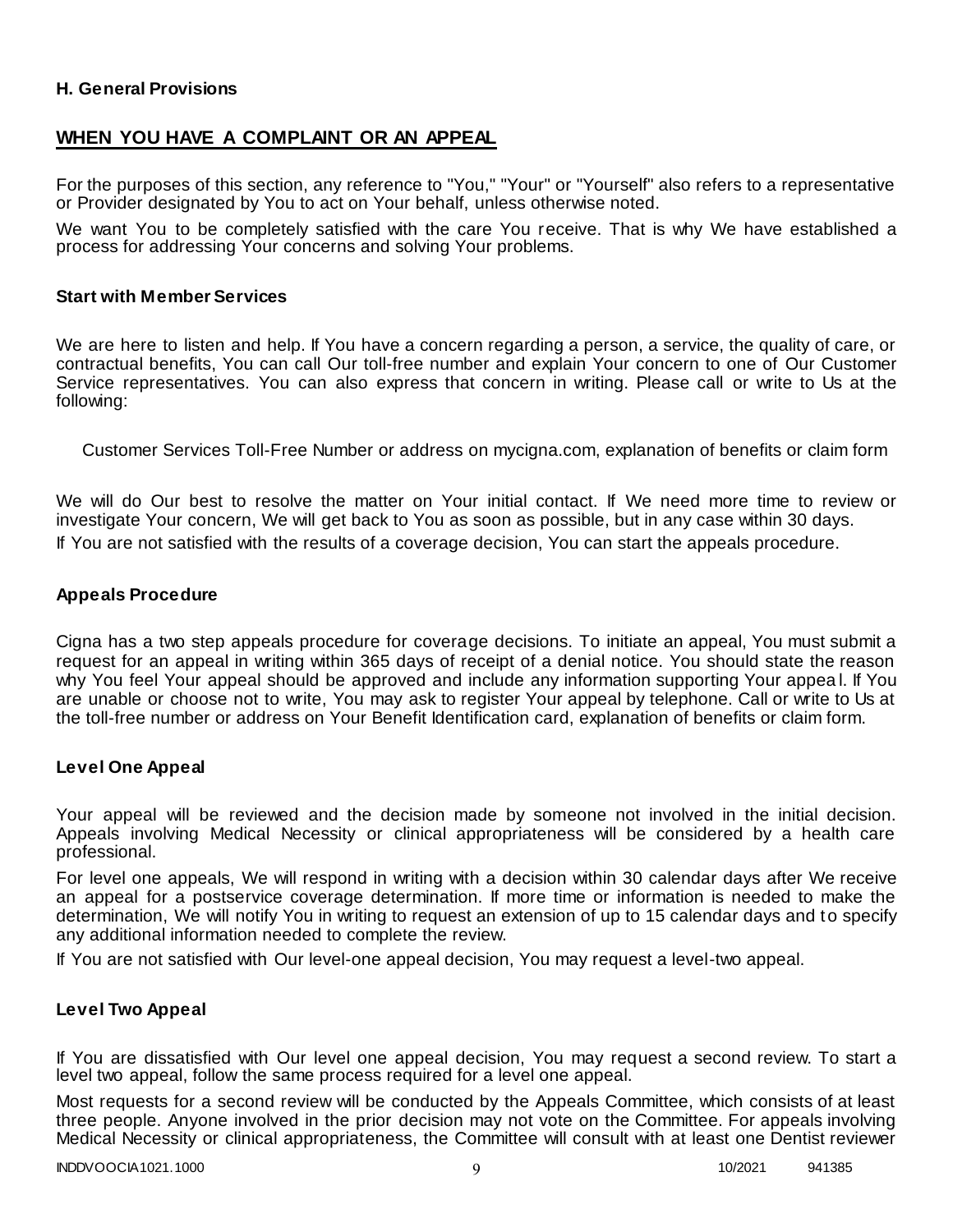### **H. General Provisions**

### **WHEN YOU HAVE A COMPLAINT OR AN APPEAL**

For the purposes of this section, any reference to "You," "Your" or "Yourself" also refers to a representative or Provider designated by You to act on Your behalf, unless otherwise noted.

We want You to be completely satisfied with the care You receive. That is why We have established a process for addressing Your concerns and solving Your problems.

#### **Start with Member Services**

We are here to listen and help. If You have a concern regarding a person, a service, the quality of care, or contractual benefits, You can call Our toll-free number and explain Your concern to one of Our Customer Service representatives. You can also express that concern in writing. Please call or write to Us at the following:

Customer Services Toll-Free Number or address on mycigna.com, explanation of benefits or claim form

We will do Our best to resolve the matter on Your initial contact. If We need more time to review or investigate Your concern, We will get back to You as soon as possible, but in any case within 30 days. If You are not satisfied with the results of a coverage decision, You can start the appeals procedure.

#### **Appeals Procedure**

Cigna has a two step appeals procedure for coverage decisions. To initiate an appeal, You must submit a request for an appeal in writing within 365 days of receipt of a denial notice. You should state the reason why You feel Your appeal should be approved and include any information supporting Your appea l. If You are unable or choose not to write, You may ask to register Your appeal by telephone. Call or write to Us at the toll-free number or address on Your Benefit Identification card, explanation of benefits or claim form.

#### **Level One Appeal**

Your appeal will be reviewed and the decision made by someone not involved in the initial decision. Appeals involving Medical Necessity or clinical appropriateness will be considered by a health care professional.

For level one appeals, We will respond in writing with a decision within 30 calendar days after We receive an appeal for a postservice coverage determination. If more time or information is needed to make the determination, We will notify You in writing to request an extension of up to 15 calendar days and to specify any additional information needed to complete the review.

If You are not satisfied with Our level-one appeal decision, You may request a level-two appeal.

#### **Level Two Appeal**

If You are dissatisfied with Our level one appeal decision, You may request a second review. To start a level two appeal, follow the same process required for a level one appeal.

Most requests for a second review will be conducted by the Appeals Committee, which consists of at least three people. Anyone involved in the prior decision may not vote on the Committee. For appeals involving Medical Necessity or clinical appropriateness, the Committee will consult with at least one Dentist reviewer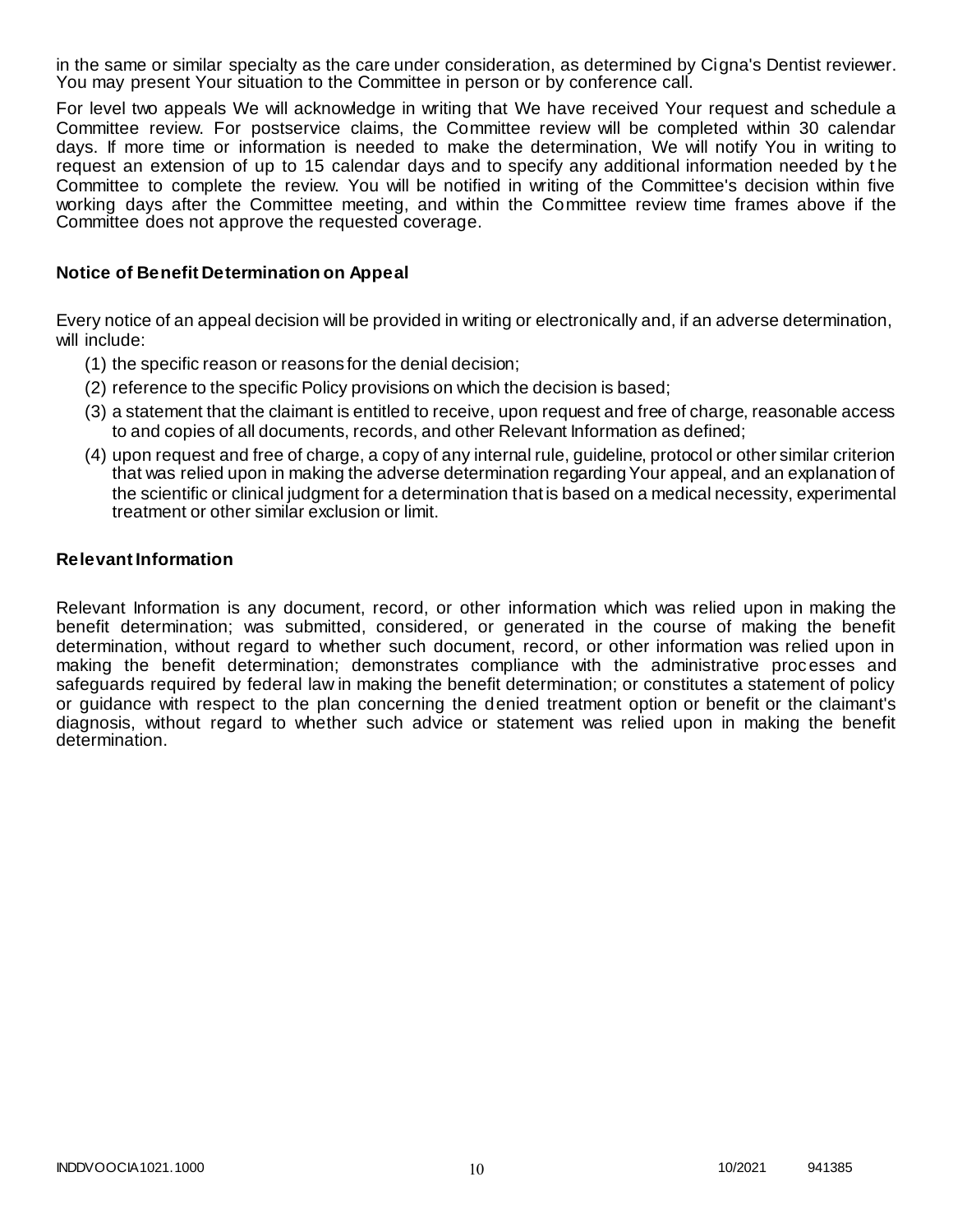in the same or similar specialty as the care under consideration, as determined by Cigna's Dentist reviewer. You may present Your situation to the Committee in person or by conference call.

For level two appeals We will acknowledge in writing that We have received Your request and schedule a Committee review. For postservice claims, the Committee review will be completed within 30 calendar days. If more time or information is needed to make the determination, We will notify You in writing to request an extension of up to 15 calendar days and to specify any additional information needed by t he Committee to complete the review. You will be notified in writing of the Committee's decision within five working days after the Committee meeting, and within the Committee review time frames above if the Committee does not approve the requested coverage.

#### **Notice of Benefit Determination on Appeal**

Every notice of an appeal decision will be provided in writing or electronically and, if an adverse determination, will include:

- (1) the specific reason or reasons for the denial decision;
- (2) reference to the specific Policy provisions on which the decision is based;
- (3) a statement that the claimant is entitled to receive, upon request and free of charge, reasonable access to and copies of all documents, records, and other Relevant Information as defined;
- (4) upon request and free of charge, a copy of any internal rule, guideline, protocol or other similar criterion that was relied upon in making the adverse determination regarding Your appeal, and an explanation of the scientific or clinical judgment for a determination that is based on a medical necessity, experimental treatment or other similar exclusion or limit.

#### **Relevant Information**

Relevant Information is any document, record, or other information which was relied upon in making the benefit determination; was submitted, considered, or generated in the course of making the benefit determination, without regard to whether such document, record, or other information was relied upon in making the benefit determination; demonstrates compliance with the administrative processes and safeguards required by federal law in making the benefit determination; or constitutes a statement of policy or guidance with respect to the plan concerning the denied treatment option or benefit or the claimant's diagnosis, without regard to whether such advice or statement was relied upon in making the benefit determination.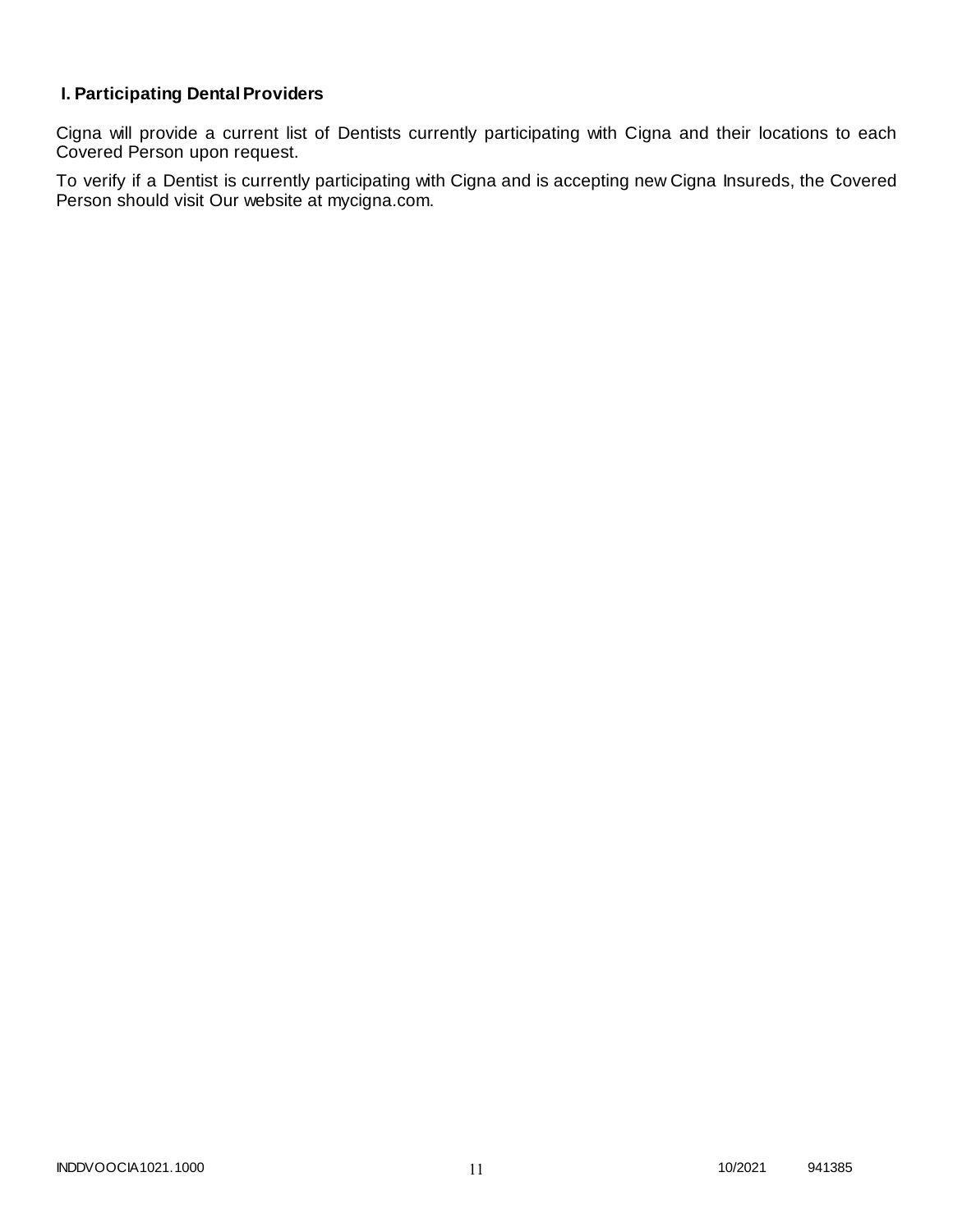# **I. Participating Dental Providers**

Cigna will provide a current list of Dentists currently participating with Cigna and their locations to each Covered Person upon request.

To verify if a Dentist is currently participating with Cigna and is accepting new Cigna Insureds, the Covered Person should visit Our website at mycigna.com.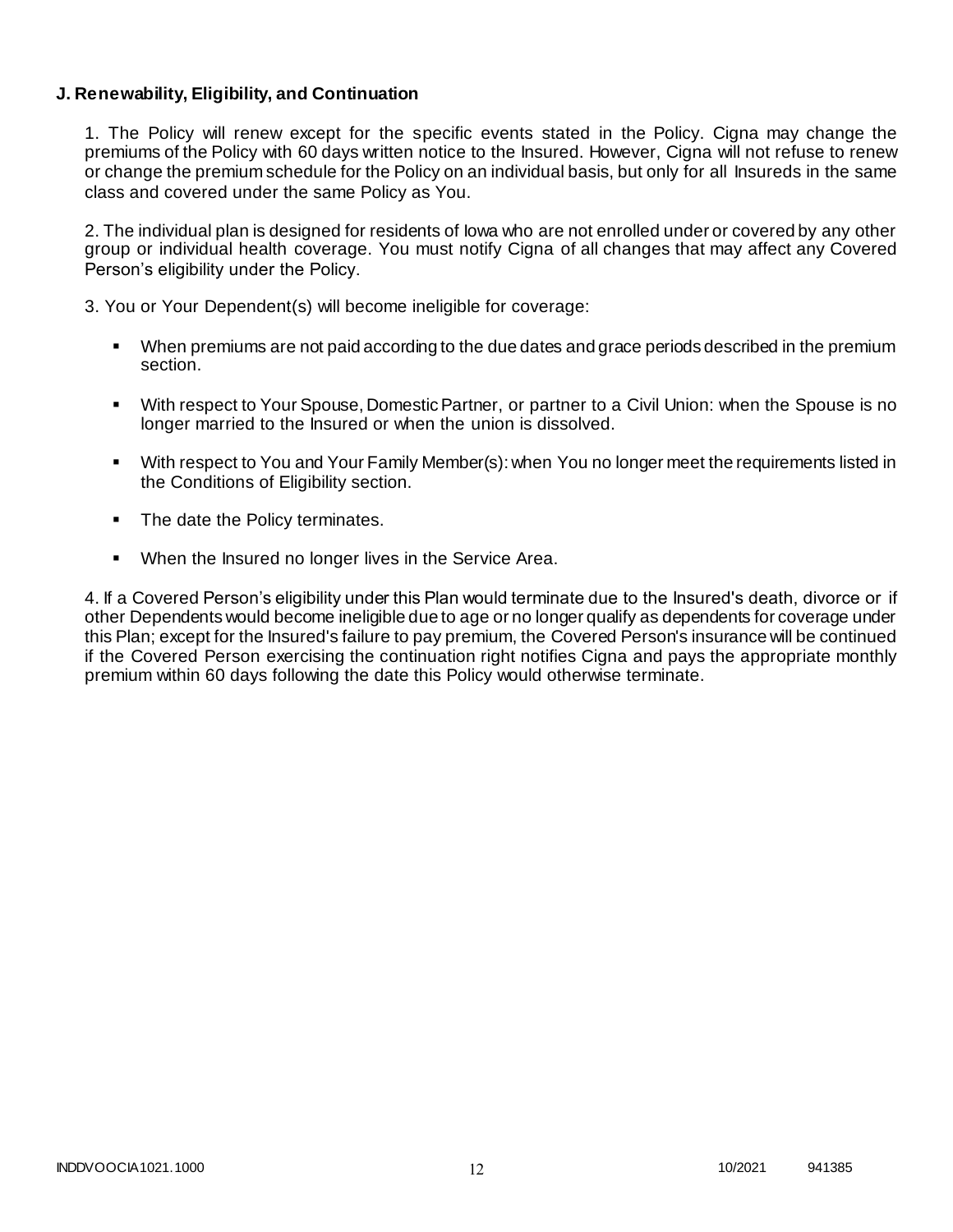### **J. Renewability, Eligibility, and Continuation**

1. The Policy will renew except for the specific events stated in the Policy. Cigna may change the premiums of the Policy with 60 days written notice to the Insured. However, Cigna will not refuse to renew or change the premium schedule for the Policy on an individual basis, but only for all Insureds in the same class and covered under the same Policy as You.

2. The individual plan is designed for residents of Iowa who are not enrolled under or covered by any other group or individual health coverage. You must notify Cigna of all changes that may affect any Covered Person's eligibility under the Policy.

3. You or Your Dependent(s) will become ineligible for coverage:

- When premiums are not paid according to the due dates and grace periods described in the premium section.
- With respect to Your Spouse, Domestic Partner, or partner to a Civil Union: when the Spouse is no longer married to the Insured or when the union is dissolved.
- With respect to You and Your Family Member(s): when You no longer meet the requirements listed in the Conditions of Eligibility section.
- The date the Policy terminates.
- When the Insured no longer lives in the Service Area.

4. If a Covered Person's eligibility under this Plan would terminate due to the Insured's death, divorce or if other Dependents would become ineligible due to age or no longer qualify as dependents for coverage under this Plan; except for the Insured's failure to pay premium, the Covered Person's insurance will be continued if the Covered Person exercising the continuation right notifies Cigna and pays the appropriate monthly premium within 60 days following the date this Policy would otherwise terminate.